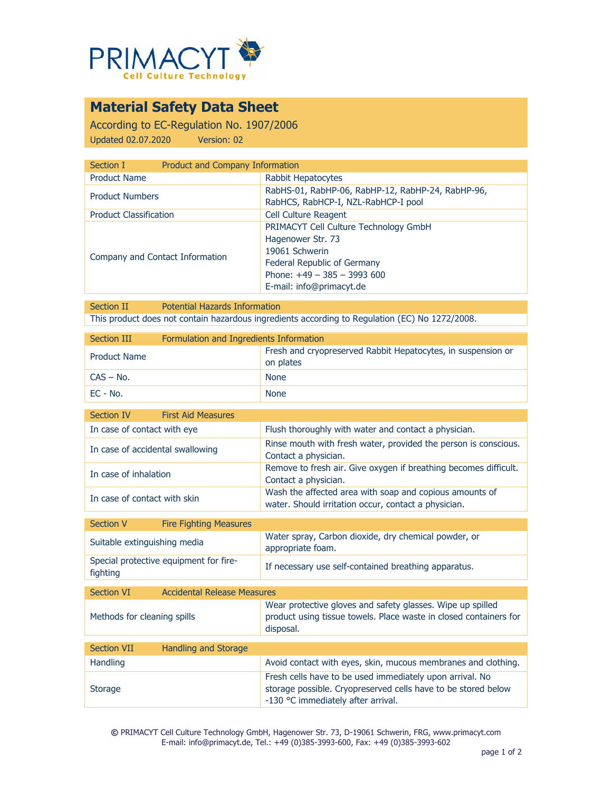

# **Material Safety Data Sheet**

According to EC-Regulation No. 1907/2006 Updated 02.07.2020 Version: 02

| Section I                       | Product and Company Information                                                                                                                                                |  |
|---------------------------------|--------------------------------------------------------------------------------------------------------------------------------------------------------------------------------|--|
| <b>Product Name</b>             | Rabbit Hepatocytes                                                                                                                                                             |  |
| <b>Product Numbers</b>          | RabHS-01, RabHP-06, RabHP-12, RabHP-24, RabHP-96,<br>RabHCS, RabHCP-I, NZL-RabHCP-I pool                                                                                       |  |
| <b>Product Classification</b>   | <b>Cell Culture Reagent</b>                                                                                                                                                    |  |
| Company and Contact Information | <b>PRIMACYT Cell Culture Technology GmbH</b><br>Hagenower Str. 73<br>19061 Schwerin<br>Federal Republic of Germany<br>Phone: $+49 - 385 - 3993600$<br>E-mail: info@primacyt.de |  |

Section II Potential Hazards Information This product does not contain hazardous ingredients according to Regulation (EC) No 1272/2008.

| <b>Section III</b><br>Formulation and Ingredients Information |                                                                                                                                              |  |  |
|---------------------------------------------------------------|----------------------------------------------------------------------------------------------------------------------------------------------|--|--|
| <b>Product Name</b>                                           | Fresh and cryopreserved Rabbit Hepatocytes, in suspension or<br>on plates                                                                    |  |  |
| $CAS - No.$                                                   | <b>None</b>                                                                                                                                  |  |  |
| $EC - No.$                                                    | <b>None</b>                                                                                                                                  |  |  |
| Section IV<br><b>First Aid Measures</b>                       |                                                                                                                                              |  |  |
| In case of contact with eye                                   | Flush thoroughly with water and contact a physician.                                                                                         |  |  |
| In case of accidental swallowing                              | Rinse mouth with fresh water, provided the person is conscious.<br>Contact a physician.                                                      |  |  |
| In case of inhalation                                         | Remove to fresh air. Give oxygen if breathing becomes difficult.<br>Contact a physician.                                                     |  |  |
| In case of contact with skin                                  | Wash the affected area with soap and copious amounts of<br>water. Should irritation occur, contact a physician.                              |  |  |
| <b>Section V</b><br><b>Fire Fighting Measures</b>             |                                                                                                                                              |  |  |
| Suitable extinguishing media                                  | Water spray, Carbon dioxide, dry chemical powder, or<br>appropriate foam.                                                                    |  |  |
| Special protective equipment for fire-<br>fighting            | If necessary use self-contained breathing apparatus.                                                                                         |  |  |
| <b>Section VI</b><br><b>Accidental Release Measures</b>       |                                                                                                                                              |  |  |
|                                                               |                                                                                                                                              |  |  |
| Methods for cleaning spills                                   | Wear protective gloves and safety glasses. Wipe up spilled<br>product using tissue towels. Place waste in closed containers for<br>disposal. |  |  |
| <b>Section VII</b><br><b>Handling and Storage</b>             |                                                                                                                                              |  |  |
| Handling                                                      | Avoid contact with eyes, skin, mucous membranes and clothing.                                                                                |  |  |
|                                                               | Fresh cells have to be used immediately upon arrival. No                                                                                     |  |  |
| <b>Storage</b>                                                | storage possible. Cryopreserved cells have to be stored below<br>-130 °C immediately after arrival.                                          |  |  |

**©** PRIMACYT Cell Culture Technology GmbH, Hagenower Str. 73, D-19061 Schwerin, FRG, www.primacyt.com E-mail: info@primacyt.de, Tel.: +49 (0)385-3993-600, Fax: +49 (0)385-3993-602